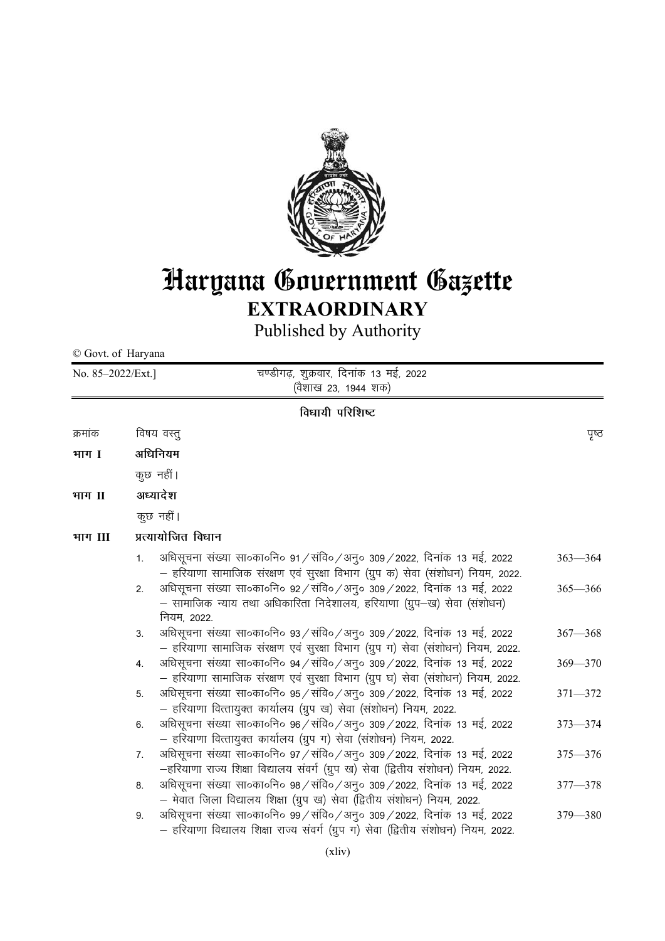

# Haryana Government Gazette **EXTRAORDINARY**

Published by Authority

© Govt. of Haryana

| No. 85-2022/Ext.] |                    | चण्डीगढ़, शुक्रवार, दिनांक 13 मई, 2022<br>(वैशाख 23, 1944 शक)                                                                                                        |             |  |
|-------------------|--------------------|----------------------------------------------------------------------------------------------------------------------------------------------------------------------|-------------|--|
| विधायी परिशिष्ट   |                    |                                                                                                                                                                      |             |  |
| क्रमांक           |                    | विषय वस्तु                                                                                                                                                           | ਧ੍ਰਾਲ       |  |
| भाग I             | अधिनियम            |                                                                                                                                                                      |             |  |
|                   | कुछ नहीं।          |                                                                                                                                                                      |             |  |
| भाग II            |                    | अध्यादेश                                                                                                                                                             |             |  |
|                   |                    | कुछ नहीं।                                                                                                                                                            |             |  |
| भाग III           | प्रत्यायोजित विधान |                                                                                                                                                                      |             |  |
|                   | 1.                 | अधिसूचना संख्या सा०का०नि० 91 / संवि० / अनु० 309 / 2022, दिनांक 13 मई, 2022<br>– हरियाणा सामाजिक संरक्षण एवं सुरक्षा विभाग (ग्रुप क) सेवा (संशोधन) नियम, 2022.        | $363 - 364$ |  |
|                   | 2.                 | अधिसूचना संख्या सा॰का॰नि॰ ९२ / संवि॰ / अनु॰ 309 / 2022, दिनांक 13 मई, 2022<br>— सामाजिक न्याय तथा अधिकारिता निदेशालय, हरियाणा (ग्रुप—ख) सेवा (संशोधन)<br>नियम, 2022. | $365 - 366$ |  |
|                   | 3.                 | अधिसूचना संख्या सा॰का॰नि॰ ९३/संवि॰/अनु॰ ३०९/२०२२, दिनांक १३ मई, २०२२<br>– हरियाणा सामाजिक संरक्षण एवं सुरक्षा विभाग (ग्रुप ग) सेवा (संशोधन) नियम, 2022.              | $367 - 368$ |  |
|                   | 4.                 | अधिसूचना संख्या सा०का०नि० 94 / संवि० / अनु० 309 / 2022, दिनांक 13 मई, 2022<br>– हरियाणा सामाजिक संरक्षण एवं सुरक्षा विभाग (ग्रुप घ) सेवा (संशोधन) नियम, 2022.        | $369 - 370$ |  |
|                   | 5.                 | अधिसूचना संख्या सा०का०नि० 95 / संवि० / अनु० 309 / 2022, दिनांक 13 मई, 2022<br>– हरियाणा वित्तायुक्त कार्यालय (ग्रुप ख) सेवा (संशोधन) नियम, 2022.                     | $371 - 372$ |  |
|                   | 6.                 | अधिसूचना संख्या सा॰का॰नि॰ ९६ / संवि॰ / अनु॰ ३०९ / २०२२, दिनांक १३ मई, २०२२<br>– हरियाणा वित्तायुक्त कार्यालय (ग्रुप ग) सेवा (संशोधन) नियम, 2022.                     | $373 - 374$ |  |
|                   | 7.                 | अधिसूचना संख्या सा०का०नि० 97 / संवि० / अनु० 309 / 2022, दिनांक 13 मई, 2022<br>–हरियाणा राज्य शिक्षा विद्यालय संवर्ग (ग्रुप ख) सेवा (द्वितीय संशोधन) नियम, 2022.      | $375 - 376$ |  |
|                   | 8.                 | अधिसूचना संख्या सा॰का॰नि॰ ९८ / संवि॰ / अनु॰ ३०९ / २०२२, दिनांक १३ मई, २०२२<br>– मेवात जिला विद्यालय शिक्षा (ग्रुप ख) सेवा (द्वितीय संशोधन) नियम, 2022.               | $377 - 378$ |  |
|                   | 9.                 | अधिसूचना संख्या सा०का०नि० 99 / संवि० / अनु० 309 / 2022, दिनांक 13 मई, 2022<br>– हरियाणा विद्यालय शिक्षा राज्य संवर्ग (ग्रुप ग) सेवा (द्वितीय संशोधन) नियम, 2022.     | 379 - 380   |  |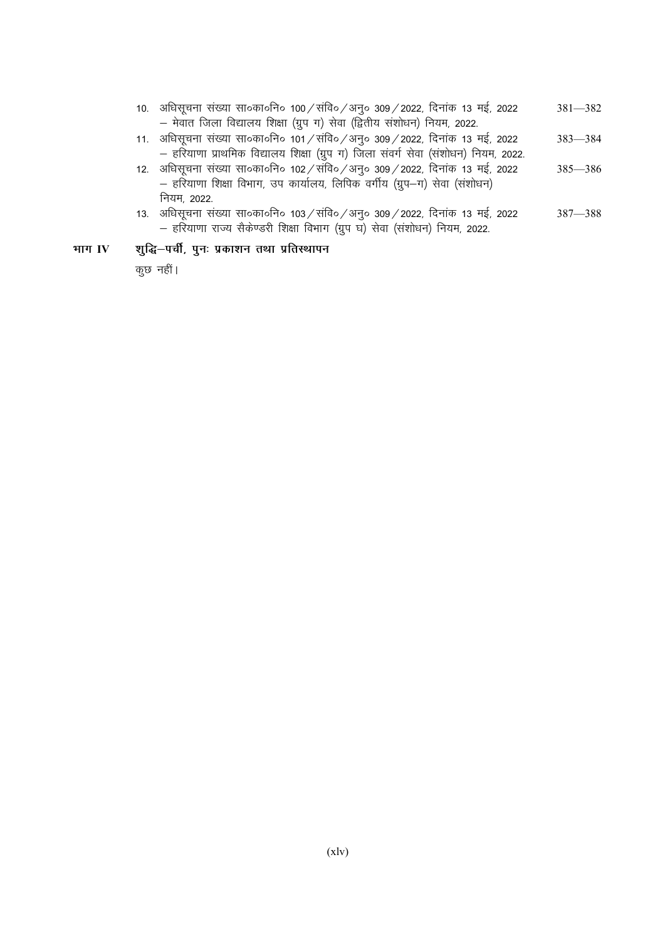- 10. अधिसूचना संख्या सा०का०नि० 100 / संवि० / अनु० 309 / 2022, दिनांक 13 मई, 2022  $381-382$ - मेवात जिला विद्यालय शिक्षा (ग्रुप ग) सेवा (द्वितीय संशोधन) नियम, 2022.
- 11. अधिसूचना संख्या सा०का०नि० 101 / संवि० / अनु० 309 / 2022, दिनांक 13 मई, 2022 383—384 - हरियाणा प्राथमिक विद्यालय शिक्षा (ग्रुप ग) जिला संवर्ग सेवा (संशोधन) नियम, 2022.
- 12. अधिसूचना संख्या सा०का०नि० 102 /संवि० / अनू० 309 / 2022, दिनांक 13 मई, 2022  $385-386$ - हरियाणा शिक्षा विभाग, उप कार्यालय, लिपिक वर्गीय (ग्रुप-ग) सेवा (संशोधन) नियम, 2022.
- 13. अधिसूचना संख्या सा०का०नि० 103 / संवि० / अनु० 309 / 2022, दिनांक 13 मई, 2022  $387-388$ — हरियाणा राज्य सैकेण्डरी शिक्षा विभाग (ग्रुप घ) सेवा (संशोधन) नियम, 2022.

# भाग IV शुद्धि-पर्ची, पुनः प्रकाशन तथा प्रतिस्थापन

कुछ नहीं।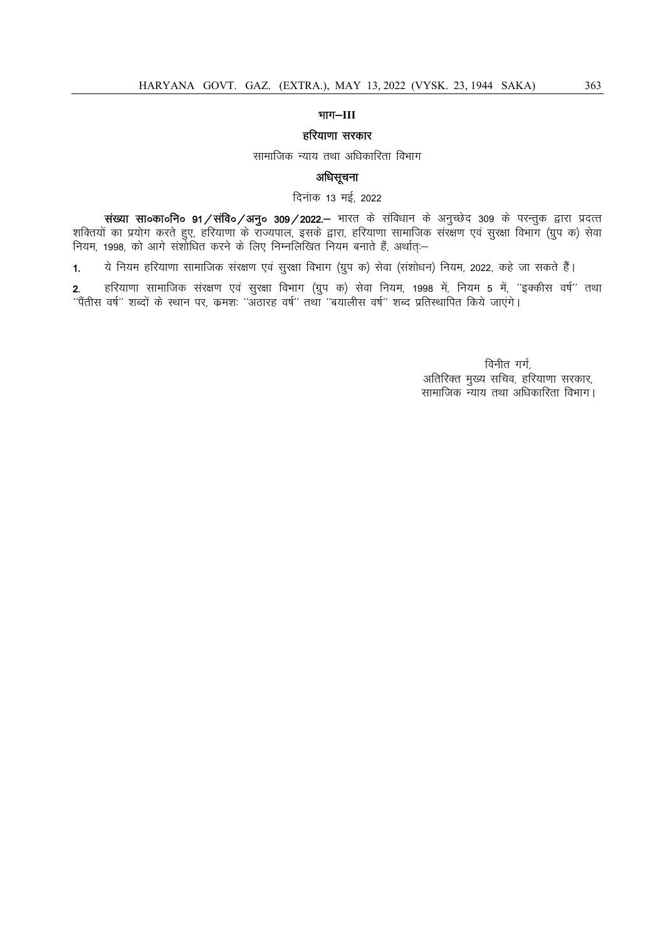# $ATT-III$

#### हरियाणा सरकार

सामाजिक न्याय तथा अधिकारिता विभाग

# अधिसूचना

दिनांक 13 मई, 2022

**संख्या सा०का०नि० 91 ⁄ संवि० ⁄ अनु० 309 ⁄ 2022.–** भारत के संविधान के अनुच्छेद 309 के परन्तुक द्वारा प्रदत्त्त शक्तियों का प्रयोग करते हुए, हरियाणा के राज्यपाल, इसके द्वारा, हरियाणा सामाजिक संरक्षण एवं सुरक्षा विभाग (ग्रुप क) सेवा नियम, 1998, को आगे संशोधित करने के लिए निम्नलिखित नियम बनाते हैं, अर्थात्≔

1. ये नियम हरियाणा सामाजिक संरक्षण एवं सुरक्षा विभाग (ग्रुप क) सेवा (संशोधन) नियम, 2022, कहे जा सकते हैं।

2. हरियाणा सामाजिक संरक्षण एवं सुरक्षा विभाग (ग्रुप क) सेवा नियम, 1998 में, नियम 5 में, ''इक्कीस वर्ष'' तथा  $\dot{a}$ 'पैंतीस वर्ष'' शब्दों के स्थान पर, क्रमशः ''अँठारह वर्ष'' तथा ''बयालीस वर्ष'' शब्द प्रतिस्थापित किये जाएंगे।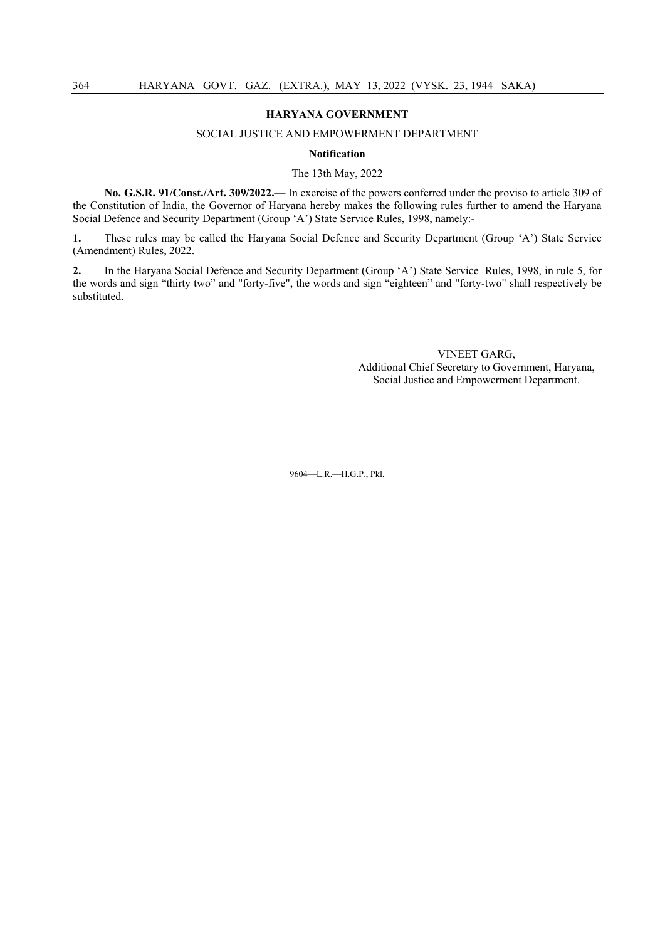#### SOCIAL JUSTICE AND EMPOWERMENT DEPARTMENT

#### **Notification**

#### The 13th May, 2022

**No. G.S.R. 91/Const./Art. 309/2022.—** In exercise of the powers conferred under the proviso to article 309 of the Constitution of India, the Governor of Haryana hereby makes the following rules further to amend the Haryana Social Defence and Security Department (Group 'A') State Service Rules, 1998, namely:-

**1.** These rules may be called the Haryana Social Defence and Security Department (Group 'A') State Service (Amendment) Rules, 2022.

**2.** In the Haryana Social Defence and Security Department (Group 'A') State Service Rules, 1998, in rule 5, for the words and sign "thirty two" and "forty-five", the words and sign "eighteen" and "forty-two" shall respectively be substituted.

> VINEET GARG, Additional Chief Secretary to Government, Haryana, Social Justice and Empowerment Department.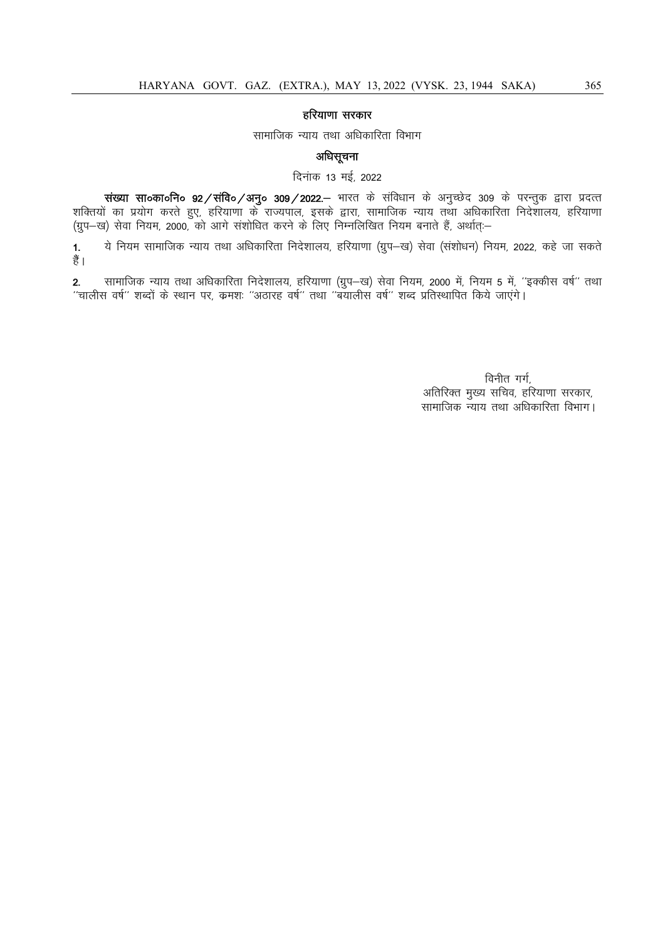## हरियाणा सरकार

## सामाजिक न्याय तथा अधिकारिता विभाग

# अधिसूचना

दिनांक 13 मई, 2022

संख्या सा०का०नि० 92/संवि०/अनु० 309/2022.– भारत के संविधान के अनुच्छेद 309 के परन्तुक द्वारा प्रदत्त शक्तियों का प्रयोग करते हुए, हरियाणा के राज्यपाल, इसके द्वारा, सामाजिक न्याय तथा अधिकारिता निदेशालय, हरियाणा (ग्रुप–ख) सेवा नियम, 2000, को आगे संशोधित करने के लिए निम्नलिखित नियम बनाते हैं, अर्थात्:–

1. ये नियम सामाजिक न्याय तथा अधिकारिता निदेशालय, हरियाणा (ग्रुप-ख) सेवा (संशोधन) नियम, 2022, कहे जा सकते हैं।

2. सामाजिक न्याय तथा अधिकारिता निदेशालय, हरियाणा (ग्रुप-ख) सेवा नियम, 2000 में, नियम 5 में, ''इक्कीस वर्ष'' तथा ^^pkyhl o"kZ^^ 'kCnkas ds LFkku ij] dze'k% ^^vBkjg o"kZ^^ rFkk ^^c;kyhl o"kZ^^ 'kCn izfrLFkkfir fd;s tk,axsA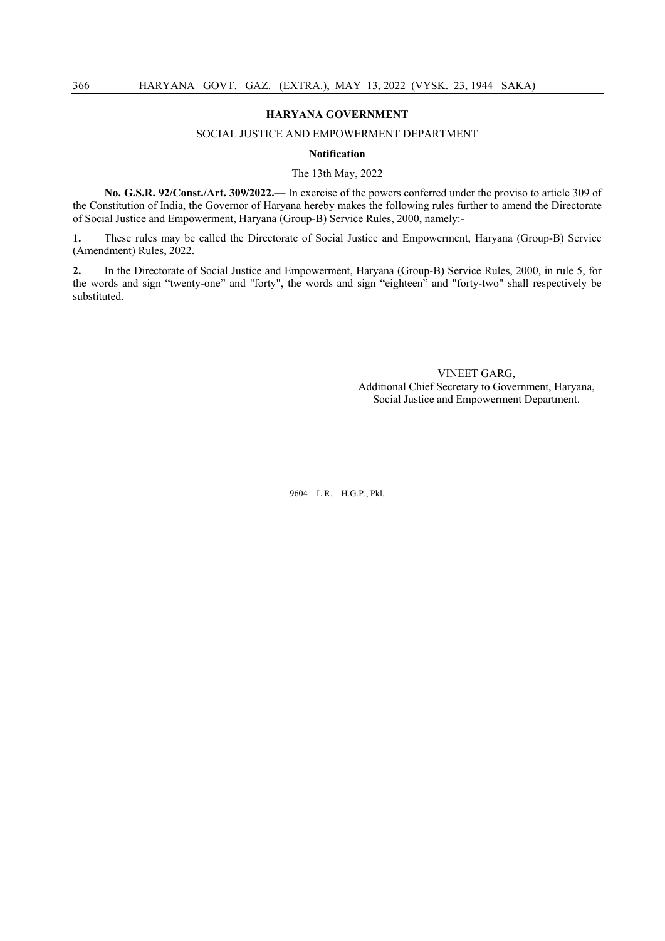#### SOCIAL JUSTICE AND EMPOWERMENT DEPARTMENT

#### **Notification**

#### The 13th May, 2022

**No. G.S.R. 92/Const./Art. 309/2022.—** In exercise of the powers conferred under the proviso to article 309 of the Constitution of India, the Governor of Haryana hereby makes the following rules further to amend the Directorate of Social Justice and Empowerment, Haryana (Group-B) Service Rules, 2000, namely:-

**1.** These rules may be called the Directorate of Social Justice and Empowerment, Haryana (Group-B) Service (Amendment) Rules, 2022.

**2.** In the Directorate of Social Justice and Empowerment, Haryana (Group-B) Service Rules, 2000, in rule 5, for the words and sign "twenty-one" and "forty", the words and sign "eighteen" and "forty-two" shall respectively be substituted.

> VINEET GARG, Additional Chief Secretary to Government, Haryana, Social Justice and Empowerment Department.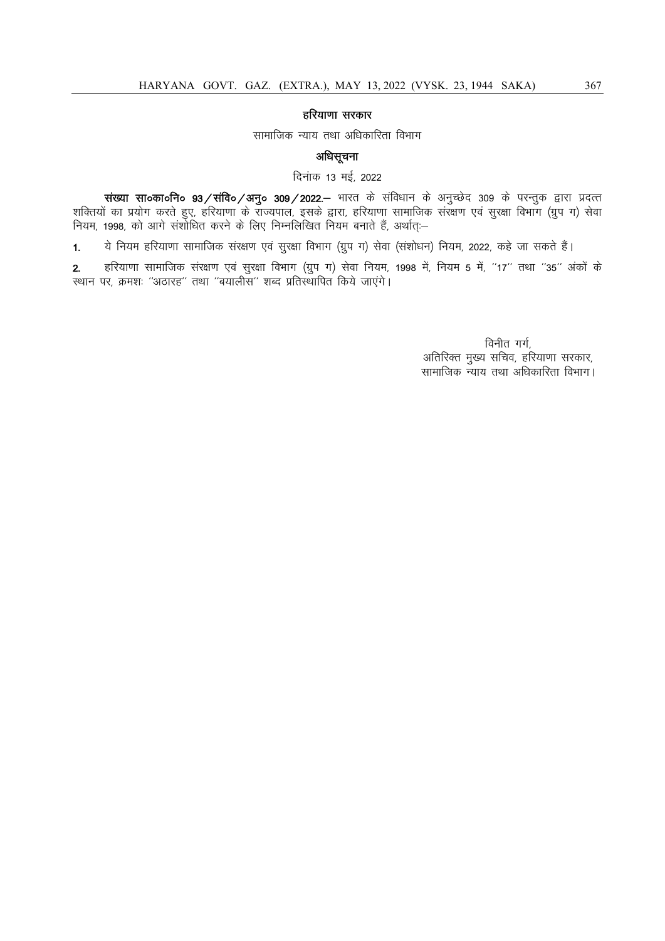# हरियाणा सरकार

सामाजिक न्याय तथा अधिकारिता विभाग

# अधिसूचना

दिनांक 13 मई, 2022

संख्या सा०का०नि० 93/संवि०/अनु० 309/2022.– भारत के संविधान के अनुच्छेद 309 के परन्तुक द्वारा प्रदत्त शक्तियों का प्रयोग करते हुए, हरियाणा के राज्यपाल, इसके द्वारा, हरियाणा सामाजिक संरक्षण एवं सुरक्षा विभाग (ग्रुप ग) सेवा नियम, 1998, को आगे संशोधित करने के लिए निम्नलिखित नियम बनाते हैं, अर्थात्:—

1. ये नियम हरियाणा सामाजिक संरक्षण एवं सुरक्षा विभाग (ग्रुप ग) सेवा (संशोधन) नियम, 2022, कहे जा सकते हैं।

2. हरियाणा सामाजिक संरक्षण एवं सुरक्षा विभाग (ग्रुप ग) सेवा नियम, 1998 में, नियम 5 में, "17" तथा "35" अंकों के रथान पर, क्रमशः "अठारह" तथा "बयालीस" शब्द प्रतिस्थापित किये जाएंगे।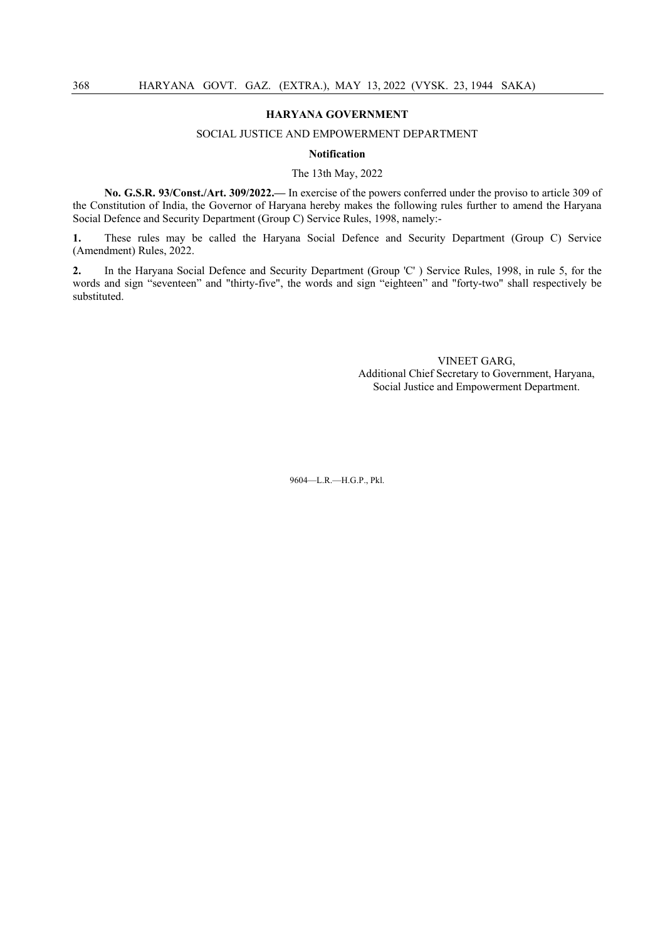#### SOCIAL JUSTICE AND EMPOWERMENT DEPARTMENT

#### **Notification**

#### The 13th May, 2022

**No. G.S.R. 93/Const./Art. 309/2022.—** In exercise of the powers conferred under the proviso to article 309 of the Constitution of India, the Governor of Haryana hereby makes the following rules further to amend the Haryana Social Defence and Security Department (Group C) Service Rules, 1998, namely:-

**1.** These rules may be called the Haryana Social Defence and Security Department (Group C) Service (Amendment) Rules, 2022.

**2.** In the Haryana Social Defence and Security Department (Group 'C' ) Service Rules, 1998, in rule 5, for the words and sign "seventeen" and "thirty-five", the words and sign "eighteen" and "forty-two" shall respectively be substituted.

> VINEET GARG, Additional Chief Secretary to Government, Haryana, Social Justice and Empowerment Department.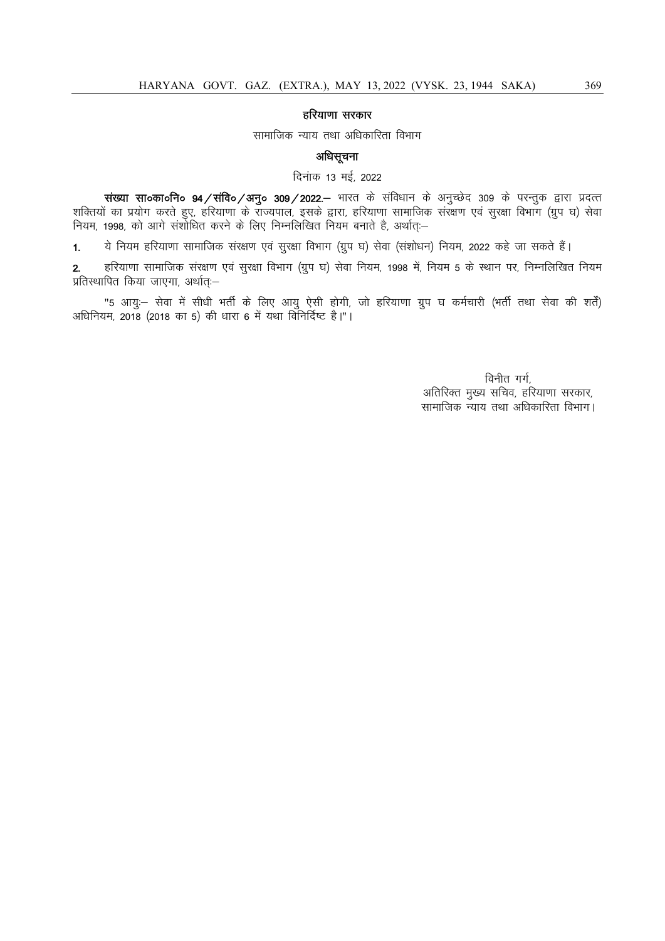# हरियाणा सरकार

सामाजिक न्याय तथा अधिकारिता विभाग

# अधिसूचना

दिनाक 13 मई, 2022

संख्या सा०का०नि० 94/संवि०/अनु० 309/2022.– भारत के संविधान के अनुच्छेद 309 के परन्तुक द्वारा प्रदत्त शक्तियों का प्रयोग करते हुए, हरियाणा के राज्यपाल, इसके द्वारा, हरियाणा सामाजिक संरक्षण एवं सुरक्षा विभाग (ग्रुप घ) सेवा नियम, 1998, को आगे संशोधित करने के लिए निम्नलिखित नियम बनाते है, अर्थात:-

1. ये नियम हरियाणा सामाजिक संरक्षण एवं सुरक्षा विभाग (ग्रुप घ) सेवा (संशोधन) नियम, 2022 कहे जा सकते हैं।

2. हरियाणा सामाजिक संरक्षण एवं सुरक्षा विभाग (ग्रुप घ) सेवा नियम, 1998 में, नियम 5 के स्थान पर, निम्नलिखित नियम प्रतिस्थापित किया जाएगा, अर्थात्ः-

"5 आयुः— सेवा में सीधी भर्ती के लिए आयु ऐसी होगी, जो हरियाणा ग्रुप घ कर्मचारी (भर्ती तथा सेवा की शर्तें) अधिनियम, 2018 (2018 का 5) की धारा 6 में यथा विनिर्दिष्ट है।"।